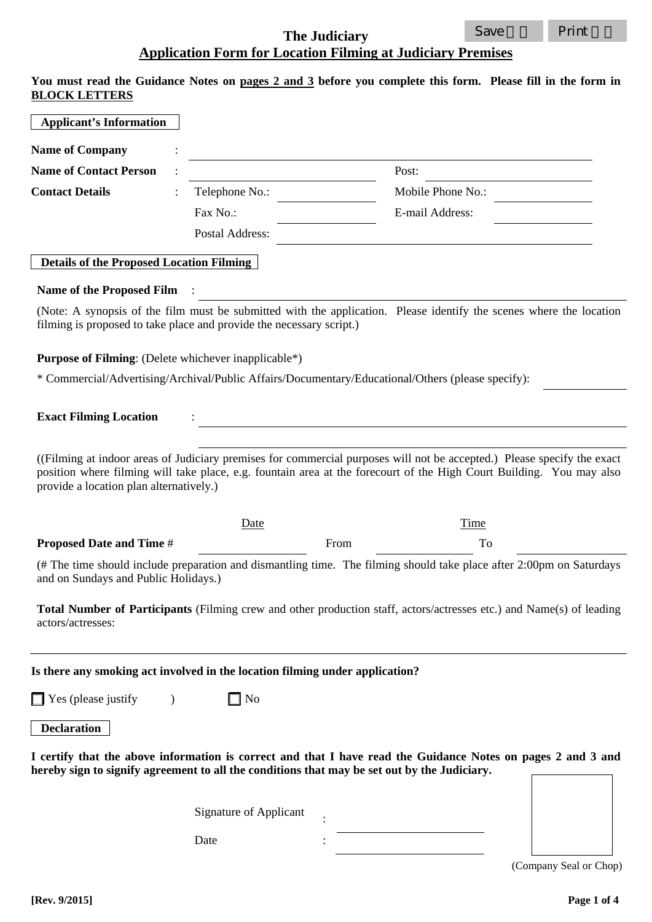## **The Judiciary Application Form for Location Filming at Judiciary Premises**

**You must read the Guidance Notes on pages 2 and 3 before you complete this form. Please fill in the form in BLOCK LETTERS** 

| <b>Applicant's Information</b>                              |                                                                                                                                                                                                                                                 |      |                   |                        |
|-------------------------------------------------------------|-------------------------------------------------------------------------------------------------------------------------------------------------------------------------------------------------------------------------------------------------|------|-------------------|------------------------|
| <b>Name of Company</b>                                      |                                                                                                                                                                                                                                                 |      |                   |                        |
| <b>Name of Contact Person</b>                               |                                                                                                                                                                                                                                                 |      | Post:             |                        |
| <b>Contact Details</b>                                      | Telephone No.:                                                                                                                                                                                                                                  |      | Mobile Phone No.: |                        |
|                                                             | Fax No.:                                                                                                                                                                                                                                        |      | E-mail Address:   |                        |
|                                                             | Postal Address:                                                                                                                                                                                                                                 |      |                   |                        |
| <b>Details of the Proposed Location Filming</b>             |                                                                                                                                                                                                                                                 |      |                   |                        |
| <b>Name of the Proposed Film</b>                            |                                                                                                                                                                                                                                                 |      |                   |                        |
|                                                             | (Note: A synopsis of the film must be submitted with the application. Please identify the scenes where the location<br>filming is proposed to take place and provide the necessary script.)                                                     |      |                   |                        |
| <b>Purpose of Filming:</b> (Delete whichever inapplicable*) |                                                                                                                                                                                                                                                 |      |                   |                        |
|                                                             | * Commercial/Advertising/Archival/Public Affairs/Documentary/Educational/Others (please specify):                                                                                                                                               |      |                   |                        |
| <b>Exact Filming Location</b>                               |                                                                                                                                                                                                                                                 |      |                   |                        |
| provide a location plan alternatively.)                     | ((Filming at indoor areas of Judiciary premises for commercial purposes will not be accepted.) Please specify the exact<br>position where filming will take place, e.g. fountain area at the forecourt of the High Court Building. You may also |      |                   |                        |
|                                                             | <u>Date</u>                                                                                                                                                                                                                                     |      | Time              |                        |
| <b>Proposed Date and Time #</b>                             |                                                                                                                                                                                                                                                 | From | To                |                        |
| and on Sundays and Public Holidays.)                        | (# The time should include preparation and dismantling time. The filming should take place after 2:00pm on Saturdays                                                                                                                            |      |                   |                        |
| actors/actresses:                                           | <b>Total Number of Participants</b> (Filming crew and other production staff, actors/actresses etc.) and Name(s) of leading                                                                                                                     |      |                   |                        |
|                                                             | Is there any smoking act involved in the location filming under application?                                                                                                                                                                    |      |                   |                        |
| $\Box$ Yes (please justify                                  | $\Box$ No                                                                                                                                                                                                                                       |      |                   |                        |
| <b>Declaration</b>                                          |                                                                                                                                                                                                                                                 |      |                   |                        |
|                                                             | I certify that the above information is correct and that I have read the Guidance Notes on pages 2 and 3 and<br>hereby sign to signify agreement to all the conditions that may be set out by the Judiciary.                                    |      |                   |                        |
|                                                             | <b>Signature of Applicant</b>                                                                                                                                                                                                                   |      |                   |                        |
|                                                             | Date                                                                                                                                                                                                                                            |      |                   |                        |
|                                                             |                                                                                                                                                                                                                                                 |      |                   | (Company Seal or Chop) |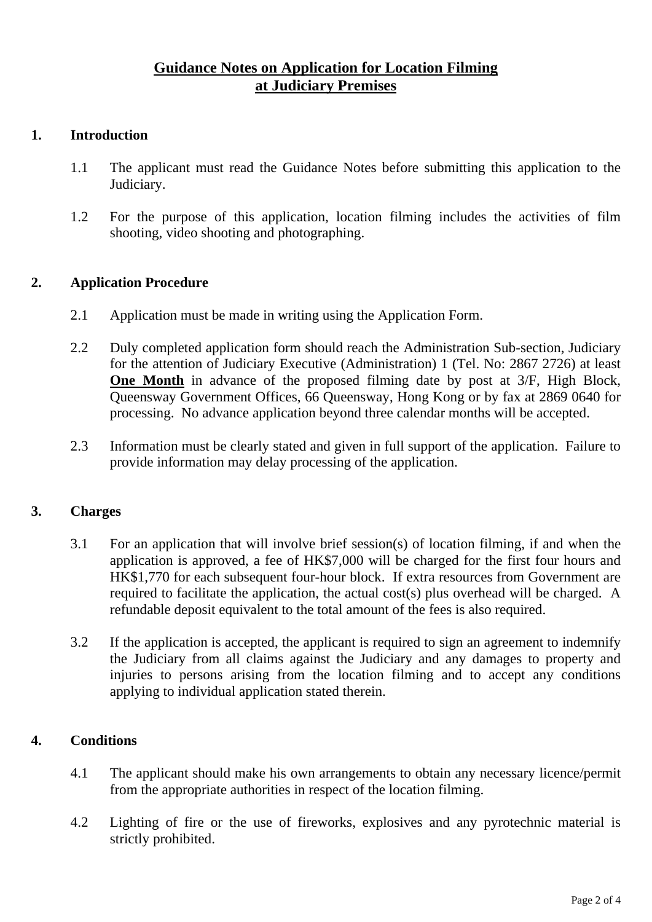## **Guidance Notes on Application for Location Filming at Judiciary Premises**

### **1. Introduction**

- 1.1 The applicant must read the Guidance Notes before submitting this application to the Judiciary.
- 1.2 For the purpose of this application, location filming includes the activities of film shooting, video shooting and photographing.

## **2. Application Procedure**

- 2.1 Application must be made in writing using the Application Form.
- 2.2 Duly completed application form should reach the Administration Sub-section, Judiciary for the attention of Judiciary Executive (Administration) 1 (Tel. No: 2867 2726) at least **One Month** in advance of the proposed filming date by post at  $3/F$ , High Block, Queensway Government Offices, 66 Queensway, Hong Kong or by fax at 2869 0640 for processing. No advance application beyond three calendar months will be accepted.
- 2.3 Information must be clearly stated and given in full support of the application. Failure to provide information may delay processing of the application.

#### **3. Charges**

- 3.1 For an application that will involve brief session(s) of location filming, if and when the application is approved, a fee of HK\$7,000 will be charged for the first four hours and HK\$1,770 for each subsequent four-hour block. If extra resources from Government are required to facilitate the application, the actual cost(s) plus overhead will be charged. A refundable deposit equivalent to the total amount of the fees is also required.
- 3.2 If the application is accepted, the applicant is required to sign an agreement to indemnify the Judiciary from all claims against the Judiciary and any damages to property and injuries to persons arising from the location filming and to accept any conditions applying to individual application stated therein.

## **4. Conditions**

- 4.1 The applicant should make his own arrangements to obtain any necessary licence/permit from the appropriate authorities in respect of the location filming.
- 4.2 Lighting of fire or the use of fireworks, explosives and any pyrotechnic material is strictly prohibited.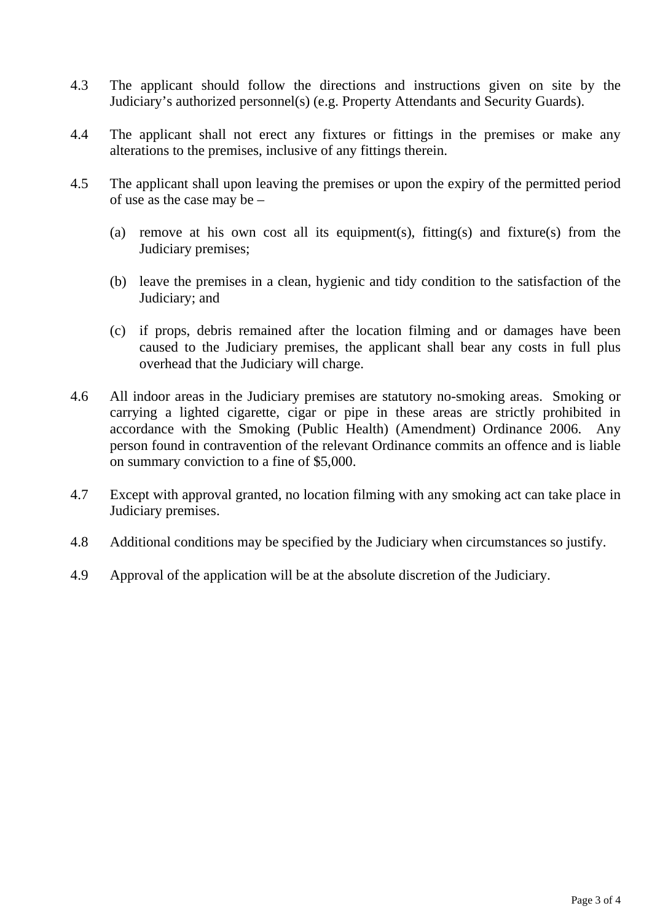- 4.3 The applicant should follow the directions and instructions given on site by the Judiciary's authorized personnel(s) (e.g. Property Attendants and Security Guards).
- 4.4 The applicant shall not erect any fixtures or fittings in the premises or make any alterations to the premises, inclusive of any fittings therein.
- 4.5 The applicant shall upon leaving the premises or upon the expiry of the permitted period of use as the case may be –
	- (a) remove at his own cost all its equipment(s), fitting(s) and fixture(s) from the Judiciary premises;
	- (b) leave the premises in a clean, hygienic and tidy condition to the satisfaction of the Judiciary; and
	- (c) if props, debris remained after the location filming and or damages have been caused to the Judiciary premises, the applicant shall bear any costs in full plus overhead that the Judiciary will charge.
- 4.6 All indoor areas in the Judiciary premises are statutory no-smoking areas. Smoking or carrying a lighted cigarette, cigar or pipe in these areas are strictly prohibited in accordance with the Smoking (Public Health) (Amendment) Ordinance 2006. Any person found in contravention of the relevant Ordinance commits an offence and is liable on summary conviction to a fine of \$5,000.
- 4.7 Except with approval granted, no location filming with any smoking act can take place in Judiciary premises.
- 4.8 Additional conditions may be specified by the Judiciary when circumstances so justify.
- 4.9 Approval of the application will be at the absolute discretion of the Judiciary.